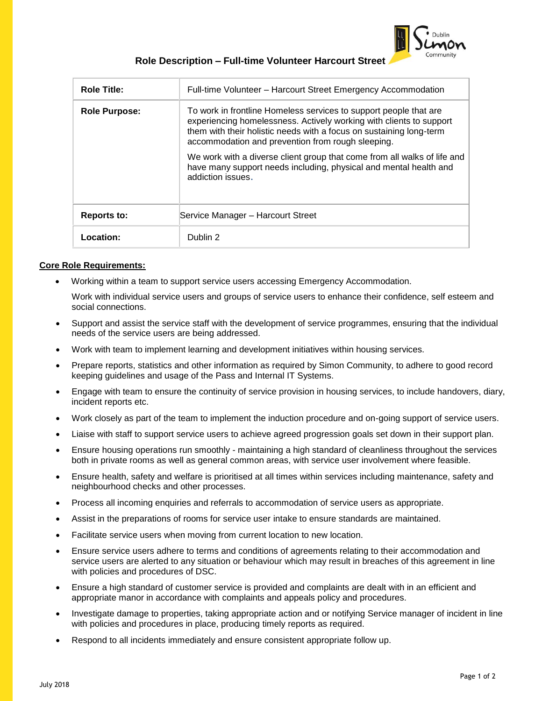

## **Role Description – Full-time Volunteer Harcourt Street**

| <b>Role Title:</b>   | Full-time Volunteer - Harcourt Street Emergency Accommodation                                                                                                                                                                                                        |  |
|----------------------|----------------------------------------------------------------------------------------------------------------------------------------------------------------------------------------------------------------------------------------------------------------------|--|
| <b>Role Purpose:</b> | To work in frontline Homeless services to support people that are<br>experiencing homelessness. Actively working with clients to support<br>them with their holistic needs with a focus on sustaining long-term<br>accommodation and prevention from rough sleeping. |  |
|                      | We work with a diverse client group that come from all walks of life and<br>have many support needs including, physical and mental health and<br>addiction issues.                                                                                                   |  |
| Reports to:          | Service Manager - Harcourt Street                                                                                                                                                                                                                                    |  |
| Location:            | Dublin 2                                                                                                                                                                                                                                                             |  |

## **Core Role Requirements:**

• Working within a team to support service users accessing Emergency Accommodation.

Work with individual service users and groups of service users to enhance their confidence, self esteem and social connections.

- Support and assist the service staff with the development of service programmes, ensuring that the individual needs of the service users are being addressed.
- Work with team to implement learning and development initiatives within housing services.
- Prepare reports, statistics and other information as required by Simon Community, to adhere to good record keeping guidelines and usage of the Pass and Internal IT Systems.
- Engage with team to ensure the continuity of service provision in housing services, to include handovers, diary, incident reports etc.
- Work closely as part of the team to implement the induction procedure and on-going support of service users.
- Liaise with staff to support service users to achieve agreed progression goals set down in their support plan.
- Ensure housing operations run smoothly maintaining a high standard of cleanliness throughout the services both in private rooms as well as general common areas, with service user involvement where feasible.
- Ensure health, safety and welfare is prioritised at all times within services including maintenance, safety and neighbourhood checks and other processes.
- Process all incoming enquiries and referrals to accommodation of service users as appropriate.
- Assist in the preparations of rooms for service user intake to ensure standards are maintained.
- Facilitate service users when moving from current location to new location.
- Ensure service users adhere to terms and conditions of agreements relating to their accommodation and service users are alerted to any situation or behaviour which may result in breaches of this agreement in line with policies and procedures of DSC.
- Ensure a high standard of customer service is provided and complaints are dealt with in an efficient and appropriate manor in accordance with complaints and appeals policy and procedures.
- Investigate damage to properties, taking appropriate action and or notifying Service manager of incident in line with policies and procedures in place, producing timely reports as required.
- Respond to all incidents immediately and ensure consistent appropriate follow up.